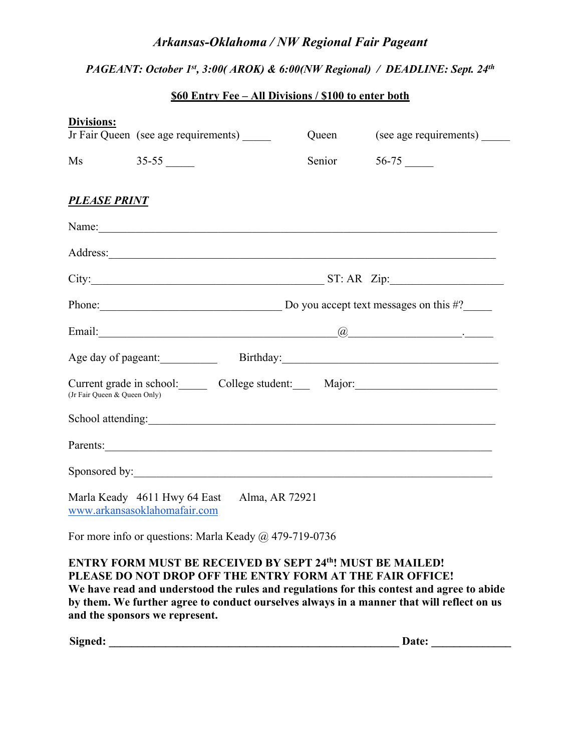# *Arkansas-Oklahoma / NW Regional Fair Pageant*

# *PAGEANT: October 1st, 3:00( AROK) & 6:00(NW Regional) / DEADLINE: Sept. 24th*

## **\$60 Entry Fee – All Divisions / \$100 to enter both**

| <b>Divisions:</b>                                                              | Jr Fair Queen (see age requirements)                    | Queen  | (see age requirements) |  |
|--------------------------------------------------------------------------------|---------------------------------------------------------|--------|------------------------|--|
| $\overline{Ms}$                                                                |                                                         | Senior |                        |  |
| <b>PLEASE PRINT</b>                                                            |                                                         |        |                        |  |
|                                                                                |                                                         |        |                        |  |
|                                                                                |                                                         |        |                        |  |
|                                                                                | $City:$ $ST: AR \ Zip:$                                 |        |                        |  |
|                                                                                | Phone: Do you accept text messages on this #?           |        |                        |  |
|                                                                                |                                                         |        |                        |  |
|                                                                                | Age day of pageant: Birthday: Birthday:                 |        |                        |  |
| (Jr Fair Queen & Queen Only)                                                   | Current grade in school: College student: Major: Major: |        |                        |  |
|                                                                                |                                                         |        |                        |  |
|                                                                                | Parents:                                                |        |                        |  |
|                                                                                |                                                         |        |                        |  |
| Marla Keady 4611 Hwy 64 East<br>Alma, AR 72921<br>www.arkansasoklahomafair.com |                                                         |        |                        |  |

For more info or questions: Marla Keady @ 479-719-0736

## ENTRY FORM MUST BE RECEIVED BY SEPT 24<sup>th</sup>! MUST BE MAILED! **PLEASE DO NOT DROP OFF THE ENTRY FORM AT THE FAIR OFFICE! We have read and understood the rules and regulations for this contest and agree to abide by them. We further agree to conduct ourselves always in a manner that will reflect on us and the sponsors we represent.**

**Signed: \_\_\_\_\_\_\_\_\_\_\_\_\_\_\_\_\_\_\_\_\_\_\_\_\_\_\_\_\_\_\_\_\_\_\_\_\_\_\_\_\_\_\_\_\_\_\_\_\_\_\_ Date: \_\_\_\_\_\_\_\_\_\_\_\_\_\_**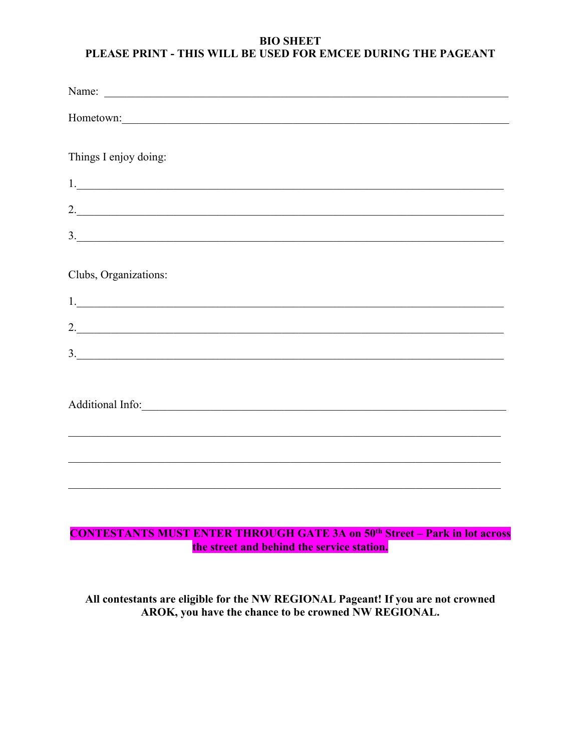## **BIO SHEET** PLEASE PRINT - THIS WILL BE USED FOR EMCEE DURING THE PAGEANT

| Hometown:             |
|-----------------------|
|                       |
| Things I enjoy doing: |
|                       |
| 2.                    |
| 3.                    |
|                       |
| Clubs, Organizations: |
|                       |
| 2.                    |
| 3.                    |
|                       |
|                       |
|                       |
|                       |
|                       |
|                       |

# **CONTESTANTS MUST ENTER THROUGH GATE 3A on 50<sup>th</sup> Street – Park in lot across** the street and behind the service station.

All contestants are eligible for the NW REGIONAL Pageant! If you are not crowned AROK, you have the chance to be crowned NW REGIONAL.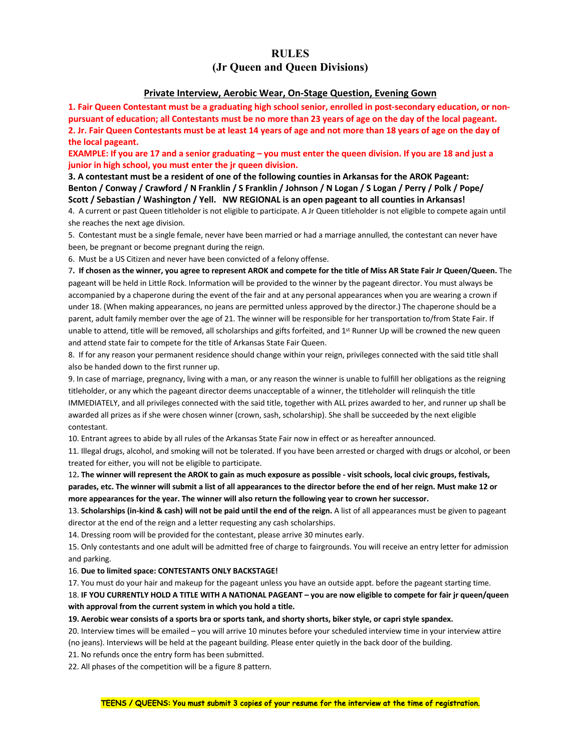### **RULES (Jr Queen and Queen Divisions)**

#### **Private Interview, Aerobic Wear, On-Stage Question, Evening Gown**

**1. Fair Queen Contestant must be a graduating high school senior, enrolled in post-secondary education, or nonpursuant of education; all Contestants must be no more than 23 years of age on the day of the local pageant. 2. Jr. Fair Queen Contestants must be at least 14 years of age and not more than 18 years of age on the day of the local pageant.** 

**EXAMPLE: If you are 17 and a senior graduating – you must enter the queen division. If you are 18 and just a junior in high school, you must enter the jr queen division.** 

**3. A contestant must be a resident of one of the following counties in Arkansas for the AROK Pageant: Benton / Conway / Crawford / N Franklin / S Franklin / Johnson / N Logan / S Logan / Perry / Polk / Pope/ Scott / Sebastian / Washington / Yell. NW REGIONAL is an open pageant to all counties in Arkansas!** 

4. A current or past Queen titleholder is not eligible to participate. A Jr Queen titleholder is not eligible to compete again until she reaches the next age division.

5. Contestant must be a single female, never have been married or had a marriage annulled, the contestant can never have been, be pregnant or become pregnant during the reign.

6. Must be a US Citizen and never have been convicted of a felony offense.

7**. If chosen as the winner, you agree to represent AROK and compete for the title of Miss AR State Fair Jr Queen/Queen.** The pageant will be held in Little Rock. Information will be provided to the winner by the pageant director. You must always be accompanied by a chaperone during the event of the fair and at any personal appearances when you are wearing a crown if under 18. (When making appearances, no jeans are permitted unless approved by the director.) The chaperone should be a parent, adult family member over the age of 21. The winner will be responsible for her transportation to/from State Fair. If unable to attend, title will be removed, all scholarships and gifts forfeited, and  $1^{st}$  Runner Up will be crowned the new queen and attend state fair to compete for the title of Arkansas State Fair Queen.

8. If for any reason your permanent residence should change within your reign, privileges connected with the said title shall also be handed down to the first runner up.

9. In case of marriage, pregnancy, living with a man, or any reason the winner is unable to fulfill her obligations as the reigning titleholder, or any which the pageant director deems unacceptable of a winner, the titleholder will relinquish the title IMMEDIATELY, and all privileges connected with the said title, together with ALL prizes awarded to her, and runner up shall be awarded all prizes as if she were chosen winner (crown, sash, scholarship). She shall be succeeded by the next eligible contestant.

10. Entrant agrees to abide by all rules of the Arkansas State Fair now in effect or as hereafter announced.

11. Illegal drugs, alcohol, and smoking will not be tolerated. If you have been arrested or charged with drugs or alcohol, or been treated for either, you will not be eligible to participate.

12**. The winner will represent the AROK to gain as much exposure as possible - visit schools, local civic groups, festivals, parades, etc. The winner will submit a list of all appearances to the director before the end of her reign. Must make 12 or more appearances for the year. The winner will also return the following year to crown her successor.**

13. **Scholarships (in-kind & cash) will not be paid until the end of the reign.** A list of all appearances must be given to pageant director at the end of the reign and a letter requesting any cash scholarships.

14. Dressing room will be provided for the contestant, please arrive 30 minutes early.

15. Only contestants and one adult will be admitted free of charge to fairgrounds. You will receive an entry letter for admission and parking.

16. **Due to limited space: CONTESTANTS ONLY BACKSTAGE!**

17. You must do your hair and makeup for the pageant unless you have an outside appt. before the pageant starting time.

18. **IF YOU CURRENTLY HOLD A TITLE WITH A NATIONAL PAGEANT – you are now eligible to compete for fair jr queen/queen with approval from the current system in which you hold a title.** 

#### **19. Aerobic wear consists of a sports bra or sports tank, and shorty shorts, biker style, or capri style spandex.**

20. Interview times will be emailed – you will arrive 10 minutes before your scheduled interview time in your interview attire (no jeans). Interviews will be held at the pageant building. Please enter quietly in the back door of the building.

21. No refunds once the entry form has been submitted.

22. All phases of the competition will be a figure 8 pattern.